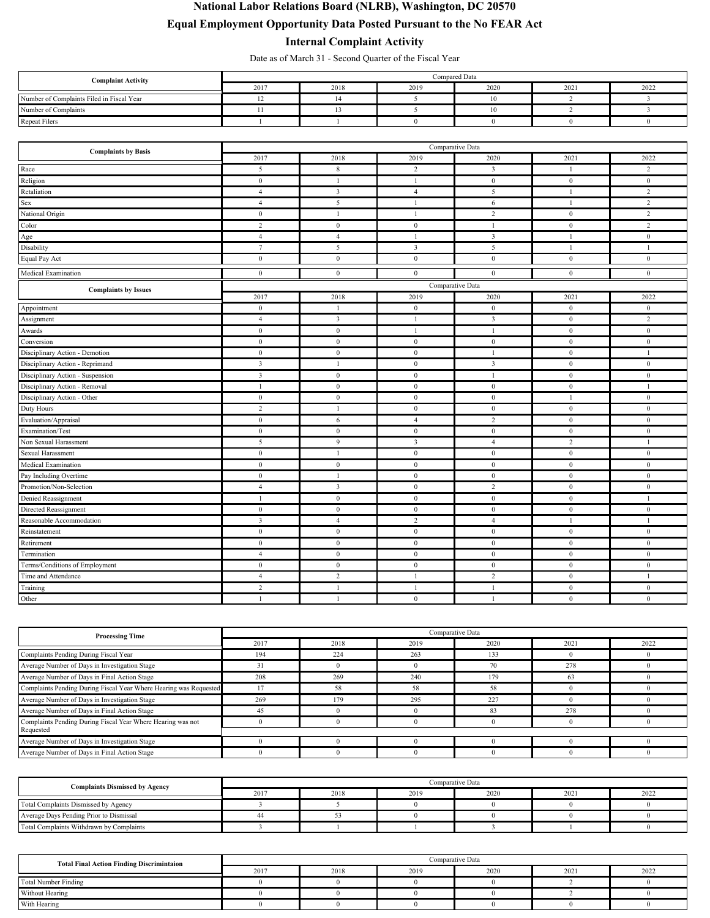## **National Labor Relations Board (NLRB), Washington, DC 20570 Equal Employment Opportunity Data Posted Pursuant to the No FEAR Act**

## **Internal Complaint Activity**

Date as of March 31 - Second Quarter of the Fiscal Year

| <b>Complaint Activity</b>                 | Compared Data |      |      |      |      |      |  |
|-------------------------------------------|---------------|------|------|------|------|------|--|
|                                           | 2017          | 2018 | 2019 | 2020 | 2021 | 2022 |  |
| Number of Complaints Filed in Fiscal Year |               |      |      |      |      |      |  |
| Number of Complaints                      |               |      |      |      |      |      |  |
| <b>Repeat Filers</b>                      |               |      |      |      |      |      |  |

| <b>Complaints by Basis</b>       |                         | Comparative Data        |                  |                  |                  |                  |  |
|----------------------------------|-------------------------|-------------------------|------------------|------------------|------------------|------------------|--|
|                                  | 2017                    | 2018                    | 2019             | 2020             | 2021             | 2022             |  |
| Race                             | 5                       | 8                       | $\overline{2}$   | $\mathbf{3}$     | 1                | $\overline{c}$   |  |
| Religion                         | $\boldsymbol{0}$        | -1                      | $\mathbf{1}$     | $\bf{0}$         | $\bf{0}$         | $\bf{0}$         |  |
| Retaliation                      | $\overline{4}$          | $\overline{3}$          | $\overline{4}$   | 5                | 1                | $\overline{2}$   |  |
| Sex                              | $\overline{4}$          | 5                       | 1                | 6                | $\overline{1}$   | $\overline{2}$   |  |
| National Origin                  | $\bf{0}$                | $\overline{1}$          | 1                | $\sqrt{2}$       | $\mathbf{0}$     | $\overline{c}$   |  |
| Color                            | $\overline{c}$          | $\mathbf{0}$            | $\bf{0}$         | 1                | $\bf{0}$         | $\overline{c}$   |  |
| Age                              | $\overline{4}$          | $\overline{4}$          | $\mathbf{1}$     | $\overline{3}$   | <sup>1</sup>     | $\mathbf{0}$     |  |
| Disability                       | $\tau$                  | 5                       | $\overline{3}$   | 5                | <sup>1</sup>     | $\mathbf{1}$     |  |
| Equal Pay Act                    | $\mathbf{0}$            | $\mathbf{0}$            | $\mathbf{0}$     | $\overline{0}$   | $\mathbf{0}$     | $\mathbf{0}$     |  |
| Medical Examination              | $\mathbf{0}$            | $\mathbf{0}$            | $\mathbf{0}$     | $\mathbf{0}$     | $\overline{0}$   | $\mathbf{0}$     |  |
| <b>Complaints by Issues</b>      |                         |                         |                  | Comparative Data |                  |                  |  |
|                                  | 2017                    | 2018                    | 2019             | 2020             | 2021             | 2022             |  |
| Appointment                      | $\mathbf{0}$            | $\overline{1}$          | $\mathbf{0}$     | $\mathbf{0}$     | $\mathbf{0}$     | $\mathbf{0}$     |  |
| Assignment                       | $\overline{4}$          | $\overline{\mathbf{3}}$ | 1                | $\mathfrak{Z}$   | $\bf{0}$         | $\overline{2}$   |  |
| Awards                           | $\mathbf{0}$            | $\mathbf{0}$            | 1                | 1                | $\bf{0}$         | $\bf{0}$         |  |
| Conversion                       | $\mathbf{0}$            | $\bf{0}$                | $\bf{0}$         | $\bf{0}$         | $\bf{0}$         | $\bf{0}$         |  |
| Disciplinary Action - Demotion   | $\boldsymbol{0}$        | $\mathbf{0}$            | $\mathbf{0}$     | 1                | $\mathbf{0}$     | $\mathbf{1}$     |  |
| Disciplinary Action - Reprimand  | $\overline{\mathbf{3}}$ | -1                      | $\mathbf{0}$     | $\overline{3}$   | $\mathbf{0}$     | $\mathbf{0}$     |  |
| Disciplinary Action - Suspension | 3                       | $\mathbf{0}$            | $\bf{0}$         | $\mathbf{1}$     | $\bf{0}$         | $\bf{0}$         |  |
| Disciplinary Action - Removal    | 1                       | $\mathbf{0}$            | $\mathbf{0}$     | $\mathbf{0}$     | $\bf{0}$         | 1                |  |
| Disciplinary Action - Other      | $\mathbf{0}$            | $\mathbf{0}$            | $\bf{0}$         | $\overline{0}$   | -1               | $\mathbf{0}$     |  |
| Duty Hours                       | $\overline{c}$          | $\mathbf{1}$            | $\boldsymbol{0}$ | $\boldsymbol{0}$ | $\boldsymbol{0}$ | $\boldsymbol{0}$ |  |
| Evaluation/Appraisal             | $\mathbf{0}$            | 6                       | $\overline{4}$   | $\overline{c}$   | $\bf{0}$         | $\mathbf{0}$     |  |
| Examination/Test                 | $\mathbf{0}$            | $\mathbf{0}$            | $\mathbf{0}$     | $\bf{0}$         | $\bf{0}$         | $\bf{0}$         |  |
| Non Sexual Harassment            | 5                       | 9                       | 3                | $\overline{4}$   | 2                | $\mathbf{1}$     |  |
| Sexual Harassment                | $\mathbf{0}$            | $\overline{1}$          | $\mathbf{0}$     | $\overline{0}$   | $\mathbf{0}$     | $\mathbf{0}$     |  |
| Medical Examination              | $\boldsymbol{0}$        | $\bf{0}$                | $\boldsymbol{0}$ | $\bf{0}$         | $\boldsymbol{0}$ | $\mathbf{0}$     |  |
| Pay Including Overtime           | $\mathbf{0}$            | $\mathbf{1}$            | $\mathbf{0}$     | $\bf{0}$         | $\bf{0}$         | $\bf{0}$         |  |
| Promotion/Non-Selection          | $\overline{4}$          | $\overline{\mathbf{3}}$ | $\mathbf{0}$     | $\overline{2}$   | $\bf{0}$         | $\bf{0}$         |  |
| Denied Reassignment              | 1                       | $\mathbf{0}$            | $\mathbf{0}$     | $\mathbf{0}$     | $\mathbf{0}$     | 1                |  |
| Directed Reassignment            | $\mathbf{0}$            | $\mathbf{0}$            | $\mathbf{0}$     | $\overline{0}$   | $\mathbf{0}$     | $\mathbf{0}$     |  |
| Reasonable Accommodation         | 3                       | $\overline{4}$          | $\overline{2}$   | $\overline{4}$   | $\overline{1}$   | $\mathbf{1}$     |  |
| Reinstatement                    | $\mathbf{0}$            | $\mathbf{0}$            | $\mathbf{0}$     | $\bf{0}$         | $\bf{0}$         | $\bf{0}$         |  |
| Retirement                       | $\boldsymbol{0}$        | $\bf{0}$                | $\mathbf{0}$     | $\bf{0}$         | $\mathbf{0}$     | $\mathbf{0}$     |  |
| Termination                      | $\overline{4}$          | $\mathbf{0}$            | $\overline{0}$   | $\mathbf{0}$     | $\mathbf{0}$     | $\mathbf{0}$     |  |
| Terms/Conditions of Employment   | $\theta$                | $\mathbf{0}$            | $\mathbf{0}$     | $\overline{0}$   | $\overline{0}$   | $\mathbf{0}$     |  |
| Time and Attendance              | $\overline{4}$          | $\overline{c}$          | 1                | $\overline{2}$   | $\bf{0}$         | $\mathbf{1}$     |  |
| Training                         | 2                       | -1                      | 1                | 1                | $\bf{0}$         | $\mathbf{0}$     |  |
| Other                            | $\mathbf{1}$            | $\overline{1}$          | $\mathbf{0}$     | $\mathbf{1}$     | $\mathbf{0}$     | $\mathbf{0}$     |  |

| <b>Processing Time</b>                                            | Comparative Data |      |          |      |          |      |  |  |
|-------------------------------------------------------------------|------------------|------|----------|------|----------|------|--|--|
|                                                                   | 2017             | 2018 | 2019     | 2020 | 2021     | 2022 |  |  |
| Complaints Pending During Fiscal Year                             | 194              | 224  | 263      | 133  |          |      |  |  |
| Average Number of Days in Investigation Stage                     |                  |      |          | 70   | 278      |      |  |  |
| Average Number of Days in Final Action Stage                      | 208              | 269  | 240      | 79   | 63       |      |  |  |
| Complaints Pending During Fiscal Year Where Hearing was Requested |                  | 58   | 58       |      |          |      |  |  |
| Average Number of Days in Investigation Stage                     | 269              | 179  | 295      | 227  |          |      |  |  |
| Average Number of Days in Final Action Stage                      | 45               |      | $\Omega$ | 83   | 278      |      |  |  |
| Complaints Pending During Fiscal Year Where Hearing was not       |                  |      | $\theta$ |      | $\Omega$ |      |  |  |
| Requested                                                         |                  |      |          |      |          |      |  |  |
| Average Number of Days in Investigation Stage                     |                  |      |          |      |          |      |  |  |
| Average Number of Days in Final Action Stage                      |                  |      |          |      |          |      |  |  |

| <b>Complaints Dismissed by Agency</b>    | Comparative Data |      |      |      |      |      |  |
|------------------------------------------|------------------|------|------|------|------|------|--|
|                                          | 2017             | 2018 | 2019 | 2020 | 2021 | 2022 |  |
| Total Complaints Dismissed by Agency     |                  |      |      |      |      |      |  |
| Average Days Pending Prior to Dismissal  |                  |      |      |      |      |      |  |
| Total Complaints Withdrawn by Complaints |                  |      |      |      |      |      |  |

| <b>Total Final Action Finding Discrimintaion</b> | Comparative Data |      |      |      |      |      |  |
|--------------------------------------------------|------------------|------|------|------|------|------|--|
|                                                  | 2017             | 2018 | 2019 | 2020 | 2021 | 2022 |  |
| <b>Total Number Finding</b>                      |                  |      |      |      |      |      |  |
| Without Hearing                                  |                  |      |      |      |      |      |  |
| With Hearing                                     |                  |      |      |      |      |      |  |